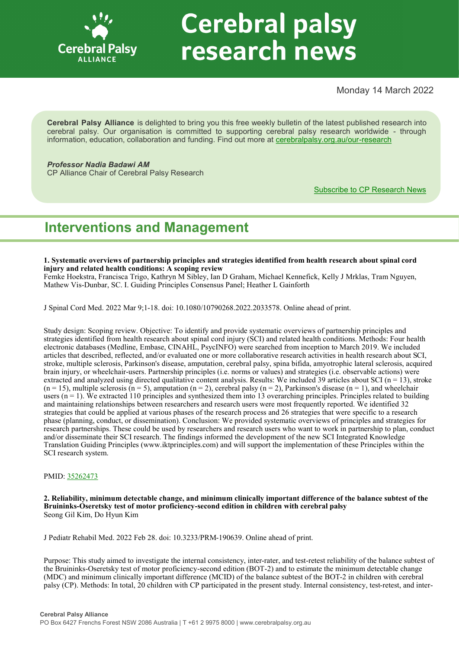

# **Cerebral palsy** research news

Monday 14 March 2022

**Cerebral Palsy Alliance** is delighted to bring you this free weekly bulletin of the latest published research into cerebral palsy. Our organisation is committed to supporting cerebral palsy research worldwide - through information, education, collaboration and funding. Find out more at [cerebralpalsy.org.au/our](https://cerebralpalsy.org.au/our-research/)-research

# *Professor Nadia Badawi AM*

CP Alliance Chair of Cerebral Palsy Research

[Subscribe to CP Research News](https://cerebralpalsy.org.au/our-research/get-involved-research/cp-research-newsletters/)

# **Interventions and Management**

**1. Systematic overviews of partnership principles and strategies identified from health research about spinal cord injury and related health conditions: A scoping review**

Femke Hoekstra, Francisca Trigo, Kathryn M Sibley, Ian D Graham, Michael Kennefick, Kelly J Mrklas, Tram Nguyen, Mathew Vis-Dunbar, SC. I. Guiding Principles Consensus Panel; Heather L Gainforth

J Spinal Cord Med. 2022 Mar 9;1-18. doi: 10.1080/10790268.2022.2033578. Online ahead of print.

Study design: Scoping review. Objective: To identify and provide systematic overviews of partnership principles and strategies identified from health research about spinal cord injury (SCI) and related health conditions. Methods: Four health electronic databases (Medline, Embase, CINAHL, PsycINFO) were searched from inception to March 2019. We included articles that described, reflected, and/or evaluated one or more collaborative research activities in health research about SCI, stroke, multiple sclerosis, Parkinson's disease, amputation, cerebral palsy, spina bifida, amyotrophic lateral sclerosis, acquired brain injury, or wheelchair-users. Partnership principles (i.e. norms or values) and strategies (i.e. observable actions) were extracted and analyzed using directed qualitative content analysis. Results: We included 39 articles about SCI ( $n = 13$ ), stroke  $(n = 15)$ , multiple sclerosis  $(n = 5)$ , amputation  $(n = 2)$ , cerebral palsy  $(n = 2)$ , Parkinson's disease  $(n = 1)$ , and wheelchair users  $(n = 1)$ . We extracted 110 principles and synthesized them into 13 overarching principles. Principles related to building and maintaining relationships between researchers and research users were most frequently reported. We identified 32 strategies that could be applied at various phases of the research process and 26 strategies that were specific to a research phase (planning, conduct, or dissemination). Conclusion: We provided systematic overviews of principles and strategies for research partnerships. These could be used by researchers and research users who want to work in partnership to plan, conduct and/or disseminate their SCI research. The findings informed the development of the new SCI Integrated Knowledge Translation Guiding Principles (www.iktprinciples.com) and will support the implementation of these Principles within the SCI research system.

### PMID: [35262473](http://www.ncbi.nlm.nih.gov/pubmed/35262473)

**2. Reliability, minimum detectable change, and minimum clinically important difference of the balance subtest of the Bruininks-Oseretsky test of motor proficiency-second edition in children with cerebral palsy** Seong Gil Kim, Do Hyun Kim

J Pediatr Rehabil Med. 2022 Feb 28. doi: 10.3233/PRM-190639. Online ahead of print.

Purpose: This study aimed to investigate the internal consistency, inter-rater, and test-retest reliability of the balance subtest of the Bruininks-Oseretsky test of motor proficiency-second edition (BOT-2) and to estimate the minimum detectable change (MDC) and minimum clinically important difference (MCID) of the balance subtest of the BOT-2 in children with cerebral palsy (CP). Methods: In total, 20 children with CP participated in the present study. Internal consistency, test-retest, and inter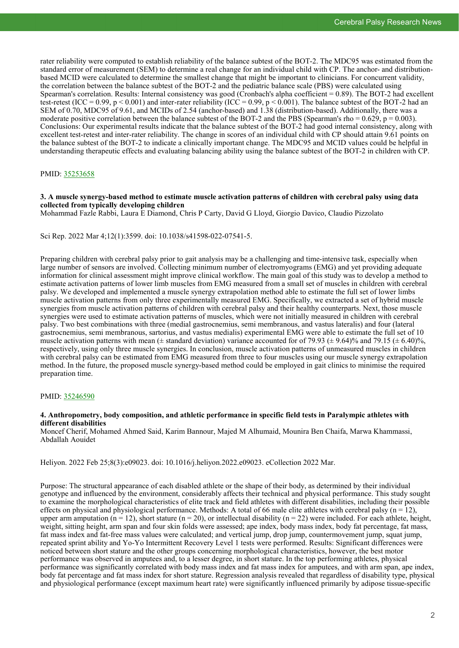rater reliability were computed to establish reliability of the balance subtest of the BOT-2. The MDC95 was estimated from the standard error of measurement (SEM) to determine a real change for an individual child with CP. The anchor- and distributionbased MCID were calculated to determine the smallest change that might be important to clinicians. For concurrent validity, the correlation between the balance subtest of the BOT-2 and the pediatric balance scale (PBS) were calculated using Spearman's correlation. Results: Internal consistency was good (Cronbach's alpha coefficient  $= 0.89$ ). The BOT-2 had excellent test-retest (ICC = 0.99, p < 0.001) and inter-rater reliability (ICC = 0.99, p < 0.001). The balance subtest of the BOT-2 had an SEM of 0.70, MDC95 of 9.61, and MCIDs of 2.54 (anchor-based) and 1.38 (distribution-based). Additionally, there was a moderate positive correlation between the balance subtest of the BOT-2 and the PBS (Spearman's rho =  $0.629$ , p =  $0.003$ ). Conclusions: Our experimental results indicate that the balance subtest of the BOT-2 had good internal consistency, along with excellent test-retest and inter-rater reliability. The change in scores of an individual child with CP should attain 9.61 points on the balance subtest of the BOT-2 to indicate a clinically important change. The MDC95 and MCID values could be helpful in understanding therapeutic effects and evaluating balancing ability using the balance subtest of the BOT-2 in children with CP.

#### PMID: [35253658](http://www.ncbi.nlm.nih.gov/pubmed/35253658)

#### **3. A muscle synergy-based method to estimate muscle activation patterns of children with cerebral palsy using data collected from typically developing children**

Mohammad Fazle Rabbi, Laura E Diamond, Chris P Carty, David G Lloyd, Giorgio Davico, Claudio Pizzolato

#### Sci Rep. 2022 Mar 4;12(1):3599. doi: 10.1038/s41598-022-07541-5.

Preparing children with cerebral palsy prior to gait analysis may be a challenging and time-intensive task, especially when large number of sensors are involved. Collecting minimum number of electromyograms (EMG) and yet providing adequate information for clinical assessment might improve clinical workflow. The main goal of this study was to develop a method to estimate activation patterns of lower limb muscles from EMG measured from a small set of muscles in children with cerebral palsy. We developed and implemented a muscle synergy extrapolation method able to estimate the full set of lower limbs muscle activation patterns from only three experimentally measured EMG. Specifically, we extracted a set of hybrid muscle synergies from muscle activation patterns of children with cerebral palsy and their healthy counterparts. Next, those muscle synergies were used to estimate activation patterns of muscles, which were not initially measured in children with cerebral palsy. Two best combinations with three (medial gastrocnemius, semi membranous, and vastus lateralis) and four (lateral gastrocnemius, semi membranous, sartorius, and vastus medialis) experimental EMG were able to estimate the full set of 10 muscle activation patterns with mean ( $\pm$  standard deviation) variance accounted for of 79.93 ( $\pm$  9.64)% and 79.15 ( $\pm$  6.40)%, respectively, using only three muscle synergies. In conclusion, muscle activation patterns of unmeasured muscles in children with cerebral palsy can be estimated from EMG measured from three to four muscles using our muscle synergy extrapolation method. In the future, the proposed muscle synergy-based method could be employed in gait clinics to minimise the required preparation time.

#### PMID: [35246590](http://www.ncbi.nlm.nih.gov/pubmed/35246590)

#### **4. Anthropometry, body composition, and athletic performance in specific field tests in Paralympic athletes with different disabilities**

Moncef Cherif, Mohamed Ahmed Said, Karim Bannour, Majed M Alhumaid, Mounira Ben Chaifa, Marwa Khammassi, Abdallah Aouidet

Heliyon. 2022 Feb 25;8(3):e09023. doi: 10.1016/j.heliyon.2022.e09023. eCollection 2022 Mar.

Purpose: The structural appearance of each disabled athlete or the shape of their body, as determined by their individual genotype and influenced by the environment, considerably affects their technical and physical performance. This study sought to examine the morphological characteristics of elite track and field athletes with different disabilities, including their possible effects on physical and physiological performance. Methods: A total of 66 male elite athletes with cerebral palsy  $(n = 12)$ , upper arm amputation ( $n = 12$ ), short stature ( $n = 20$ ), or intellectual disability ( $n = 22$ ) were included. For each athlete, height, weight, sitting height, arm span and four skin folds were assessed; ape index, body mass index, body fat percentage, fat mass, fat mass index and fat-free mass values were calculated; and vertical jump, drop jump, countermovement jump, squat jump, repeated sprint ability and Yo-Yo Intermittent Recovery Level 1 tests were performed. Results: Significant differences were noticed between short stature and the other groups concerning morphological characteristics, however, the best motor performance was observed in amputees and, to a lesser degree, in short stature. In the top performing athletes, physical performance was significantly correlated with body mass index and fat mass index for amputees, and with arm span, ape index, body fat percentage and fat mass index for short stature. Regression analysis revealed that regardless of disability type, physical and physiological performance (except maximum heart rate) were significantly influenced primarily by adipose tissue-specific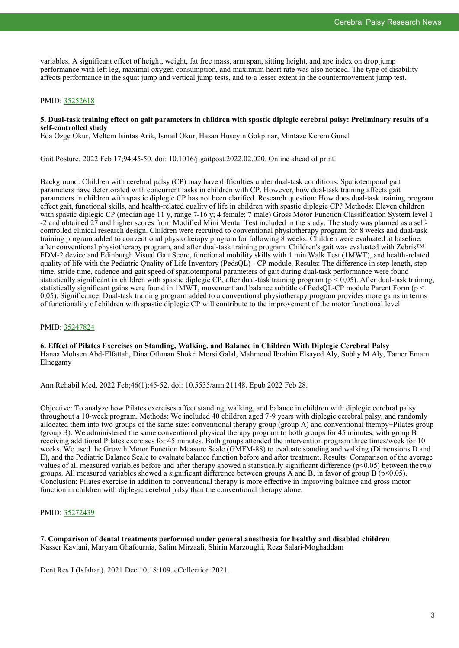variables. A significant effect of height, weight, fat free mass, arm span, sitting height, and ape index on drop jump performance with left leg, maximal oxygen consumption, and maximum heart rate was also noticed. The type of disability affects performance in the squat jump and vertical jump tests, and to a lesser extent in the countermovement jump test.

#### PMID: [35252618](http://www.ncbi.nlm.nih.gov/pubmed/35252618)

#### **5. Dual-task training effect on gait parameters in children with spastic diplegic cerebral palsy: Preliminary results of a self-controlled study**

Eda Ozge Okur, Meltem Isintas Arik, Ismail Okur, Hasan Huseyin Gokpinar, Mintaze Kerem Gunel

Gait Posture. 2022 Feb 17;94:45-50. doi: 10.1016/j.gaitpost.2022.02.020. Online ahead of print.

Background: Children with cerebral palsy (CP) may have difficulties under dual-task conditions. Spatiotemporal gait parameters have deteriorated with concurrent tasks in children with CP. However, how dual-task training affects gait parameters in children with spastic diplegic CP has not been clarified. Research question: How does dual-task training program effect gait, functional skills, and health-related quality of life in children with spastic diplegic CP? Methods: Eleven children with spastic diplegic CP (median age 11 y, range 7-16 y; 4 female; 7 male) Gross Motor Function Classification System level 1 -2 and obtained 27 and higher scores from Modified Mini Mental Test included in the study. The study was planned as a selfcontrolled clinical research design. Children were recruited to conventional physiotherapy program for 8 weeks and dual-task training program added to conventional physiotherapy program for following 8 weeks. Children were evaluated at baseline, after conventional physiotherapy program, and after dual-task training program. Children's gait was evaluated with Zebris™ FDM-2 device and Edinburgh Visual Gait Score, functional mobility skills with 1 min Walk Test (1MWT), and health-related quality of life with the Pediatric Quality of Life Inventory (PedsQL) - CP module. Results: The difference in step length, step time, stride time, cadence and gait speed of spatiotemporal parameters of gait during dual-task performance were found statistically significant in children with spastic diplegic CP, after dual-task training program ( $p < 0.05$ ). After dual-task training, statistically significant gains were found in 1MWT, movement and balance subtitle of PedsQL-CP module Parent Form (p < 0,05). Significance: Dual-task training program added to a conventional physiotherapy program provides more gains in terms of functionality of children with spastic diplegic CP will contribute to the improvement of the motor functional level.

#### PMID: [35247824](http://www.ncbi.nlm.nih.gov/pubmed/35247824)

#### **6. Effect of Pilates Exercises on Standing, Walking, and Balance in Children With Diplegic Cerebral Palsy** Hanaa Mohsen Abd-Elfattah, Dina Othman Shokri Morsi Galal, Mahmoud Ibrahim Elsayed Aly, Sobhy M Aly, Tamer Emam Elnegamy

Ann Rehabil Med. 2022 Feb;46(1):45-52. doi: 10.5535/arm.21148. Epub 2022 Feb 28.

Objective: To analyze how Pilates exercises affect standing, walking, and balance in children with diplegic cerebral palsy throughout a 10-week program. Methods: We included 40 children aged 7-9 years with diplegic cerebral palsy, and randomly allocated them into two groups of the same size: conventional therapy group (group A) and conventional therapy+Pilates group (group B). We administered the same conventional physical therapy program to both groups for 45 minutes, with group B receiving additional Pilates exercises for 45 minutes. Both groups attended the intervention program three times/week for 10 weeks. We used the Growth Motor Function Measure Scale (GMFM-88) to evaluate standing and walking (Dimensions D and E), and the Pediatric Balance Scale to evaluate balance function before and after treatment. Results: Comparison of the average values of all measured variables before and after therapy showed a statistically significant difference (p<0.05) between the two groups. All measured variables showed a significant difference between groups A and B, in favor of group B ( $p<0.05$ ). Conclusion: Pilates exercise in addition to conventional therapy is more effective in improving balance and gross motor function in children with diplegic cerebral palsy than the conventional therapy alone.

#### PMID: [35272439](http://www.ncbi.nlm.nih.gov/pubmed/35272439)

**7. Comparison of dental treatments performed under general anesthesia for healthy and disabled children** Nasser Kaviani, Maryam Ghafournia, Salim Mirzaali, Shirin Marzoughi, Reza Salari-Moghaddam

Dent Res J (Isfahan). 2021 Dec 10;18:109. eCollection 2021.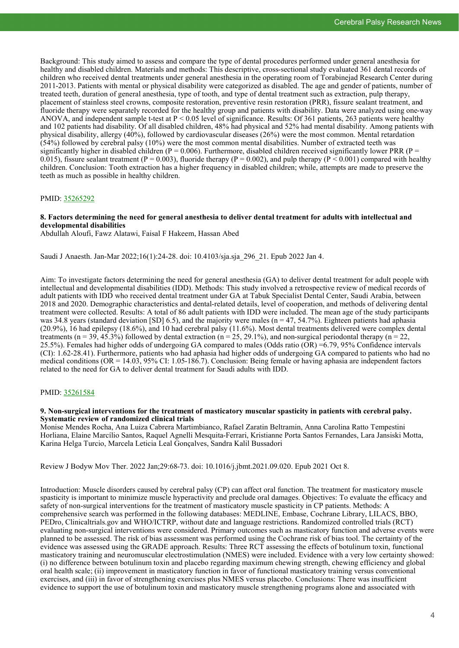Background: This study aimed to assess and compare the type of dental procedures performed under general anesthesia for healthy and disabled children. Materials and methods: This descriptive, cross-sectional study evaluated 361 dental records of children who received dental treatments under general anesthesia in the operating room of Torabinejad Research Center during 2011-2013. Patients with mental or physical disability were categorized as disabled. The age and gender of patients, number of treated teeth, duration of general anesthesia, type of tooth, and type of dental treatment such as extraction, pulp therapy, placement of stainless steel crowns, composite restoration, preventive resin restoration (PRR), fissure sealant treatment, and fluoride therapy were separately recorded for the healthy group and patients with disability. Data were analyzed using one-way ANOVA, and independent sample t-test at  $P \le 0.05$  level of significance. Results: Of 361 patients, 263 patients were healthy and 102 patients had disability. Of all disabled children, 48% had physical and 52% had mental disability. Among patients with physical disability, allergy (40%), followed by cardiovascular diseases (26%) were the most common. Mental retardation (54%) followed by cerebral palsy (10%) were the most common mental disabilities. Number of extracted teeth was significantly higher in disabled children ( $P = 0.006$ ). Furthermore, disabled children received significantly lower PRR ( $P =$ 0.015), fissure sealant treatment (P = 0.003), fluoride therapy (P = 0.002), and pulp therapy (P < 0.001) compared with healthy children. Conclusion: Tooth extraction has a higher frequency in disabled children; while, attempts are made to preserve the teeth as much as possible in healthy children.

#### PMID: [35265292](http://www.ncbi.nlm.nih.gov/pubmed/35265292)

#### **8. Factors determining the need for general anesthesia to deliver dental treatment for adults with intellectual and developmental disabilities**

Abdullah Aloufi, Fawz Alatawi, Faisal F Hakeem, Hassan Abed

Saudi J Anaesth. Jan-Mar 2022;16(1):24-28. doi: 10.4103/sja.sja\_296\_21. Epub 2022 Jan 4.

Aim: To investigate factors determining the need for general anesthesia (GA) to deliver dental treatment for adult people with intellectual and developmental disabilities (IDD). Methods: This study involved a retrospective review of medical records of adult patients with IDD who received dental treatment under GA at Tabuk Specialist Dental Center, Saudi Arabia, between 2018 and 2020. Demographic characteristics and dental-related details, level of cooperation, and methods of delivering dental treatment were collected. Results: A total of 86 adult patients with IDD were included. The mean age of the study participants was 34.8 years (standard deviation [SD] 6.5), and the majority were males ( $n = 47, 54.7\%$ ). Eighteen patients had aphasia (20.9%), 16 had epilepsy (18.6%), and 10 had cerebral palsy (11.6%). Most dental treatments delivered were complex dental treatments ( $n = 39, 45.3\%$ ) followed by dental extraction ( $n = 25, 29.1\%$ ), and non-surgical periodontal therapy ( $n = 22$ , 25.5%). Females had higher odds of undergoing GA compared to males (Odds ratio  $\overline{OR}$ ) =6.79, 95% Confidence intervals (CI): 1.62-28.41). Furthermore, patients who had aphasia had higher odds of undergoing GA compared to patients who had no medical conditions (OR = 14.03, 95% CI: 1.05-186.7). Conclusion: Being female or having aphasia are independent factors related to the need for GA to deliver dental treatment for Saudi adults with IDD.

#### PMID: [35261584](http://www.ncbi.nlm.nih.gov/pubmed/35261584)

#### **9. Non-surgical interventions for the treatment of masticatory muscular spasticity in patients with cerebral palsy. Systematic review of randomized clinical trials**

Monise Mendes Rocha, Ana Luiza Cabrera Martimbianco, Rafael Zaratin Beltramin, Anna Carolina Ratto Tempestini Horliana, Elaine Marcílio Santos, Raquel Agnelli Mesquita-Ferrari, Kristianne Porta Santos Fernandes, Lara Jansiski Motta, Karina Helga Turcio, Marcela Leticia Leal Gonçalves, Sandra Kalil Bussadori

Review J Bodyw Mov Ther. 2022 Jan;29:68-73. doi: 10.1016/j.jbmt.2021.09.020. Epub 2021 Oct 8.

Introduction: Muscle disorders caused by cerebral palsy (CP) can affect oral function. The treatment for masticatory muscle spasticity is important to minimize muscle hyperactivity and preclude oral damages. Objectives: To evaluate the efficacy and safety of non-surgical interventions for the treatment of masticatory muscle spasticity in CP patients. Methods: A comprehensive search was performed in the following databases: MEDLINE, Embase, Cochrane Library, LILACS, BBO, PEDro, Clinicaltrials.gov and WHO/ICTRP, without date and language restrictions. Randomized controlled trials (RCT) evaluating non-surgical interventions were considered. Primary outcomes such as masticatory function and adverse events were planned to be assessed. The risk of bias assessment was performed using the Cochrane risk of bias tool. The certainty of the evidence was assessed using the GRADE approach. Results: Three RCT assessing the effects of botulinum toxin, functional masticatory training and neuromuscular electrostimulation (NMES) were included. Evidence with a very low certainty showed: (i) no difference between botulinum toxin and placebo regarding maximum chewing strength, chewing efficiency and global oral health scale; (ii) improvement in masticatory function in favor of functional masticatory training versus conventional exercises, and (iii) in favor of strengthening exercises plus NMES versus placebo. Conclusions: There was insufficient evidence to support the use of botulinum toxin and masticatory muscle strengthening programs alone and associated with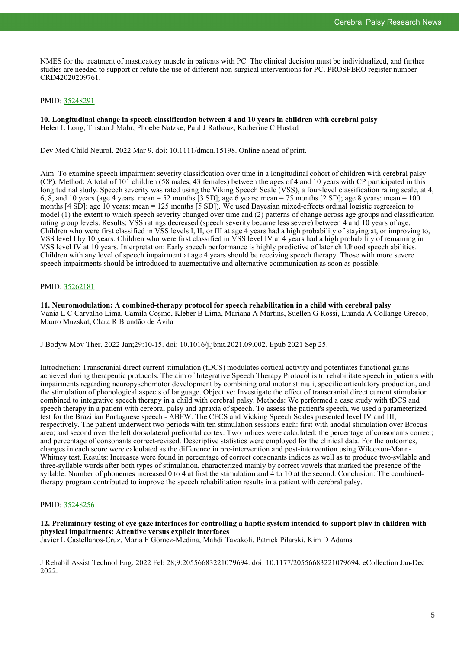NMES for the treatment of masticatory muscle in patients with PC. The clinical decision must be individualized, and further studies are needed to support or refute the use of different non-surgical interventions for PC. PROSPERO register number CRD42020209761.

#### PMID: [35248291](http://www.ncbi.nlm.nih.gov/pubmed/35248291)

**10. Longitudinal change in speech classification between 4 and 10 years in children with cerebral palsy** Helen L Long, Tristan J Mahr, Phoebe Natzke, Paul J Rathouz, Katherine C Hustad

Dev Med Child Neurol. 2022 Mar 9. doi: 10.1111/dmcn.15198. Online ahead of print.

Aim: To examine speech impairment severity classification over time in a longitudinal cohort of children with cerebral palsy (CP). Method: A total of 101 children (58 males, 43 females) between the ages of 4 and 10 years with CP participated in this longitudinal study. Speech severity was rated using the Viking Speech Scale (VSS), a four-level classification rating scale, at 4, 6, 8, and 10 years (age 4 years: mean = 52 months [3 SD]; age 6 years: mean = 75 months [2 SD]; age 8 years: mean = 100 months [4 SD]; age 10 years: mean = 125 months [5 SD]). We used Bayesian mixed-effects ordinal logistic regression to model  $(\hat{1})$  the extent to which speech severity changed over time and  $(2)$  patterns of change across age groups and classification rating group levels. Results: VSS ratings decreased (speech severity became less severe) between 4 and 10 years of age. Children who were first classified in VSS levels I, II, or III at age  $\ddot{4}$  years had a high probability of staying at, or improving to, VSS level I by 10 years. Children who were first classified in VSS level IV at 4 years had a high probability of remaining in VSS level IV at 10 years. Interpretation: Early speech performance is highly predictive of later childhood speech abilities. Children with any level of speech impairment at age 4 years should be receiving speech therapy. Those with more severe speech impairments should be introduced to augmentative and alternative communication as soon as possible.

#### PMID: [35262181](http://www.ncbi.nlm.nih.gov/pubmed/35262181)

**11. Neuromodulation: A combined-therapy protocol for speech rehabilitation in a child with cerebral palsy** Vania L C Carvalho Lima, Camila Cosmo, Kleber B Lima, Mariana A Martins, Suellen G Rossi, Luanda A Collange Grecco, Mauro Muzskat, Clara R Brandão de Ávila

J Bodyw Mov Ther. 2022 Jan;29:10-15. doi: 10.1016/j.jbmt.2021.09.002. Epub 2021 Sep 25.

Introduction: Transcranial direct current stimulation (tDCS) modulates cortical activity and potentiates functional gains achieved during therapeutic protocols. The aim of Integrative Speech Therapy Protocol is to rehabilitate speech in patients with impairments regarding neuropyschomotor development by combining oral motor stimuli, specific articulatory production, and the stimulation of phonological aspects of language. Objective: Investigate the effect of transcranial direct current stimulation combined to integrative speech therapy in a child with cerebral palsy. Methods: We performed a case study with tDCS and speech therapy in a patient with cerebral palsy and apraxia of speech. To assess the patient's speech, we used a parameterized test for the Brazilian Portuguese speech - ABFW. The CFCS and Vicking Speech Scales presented level IV and III, respectively. The patient underwent two periods with ten stimulation sessions each: first with anodal stimulation over Broca's area; and second over the left dorsolateral prefrontal cortex. Two indices were calculated: the percentage of consonants correct; and percentage of consonants correct-revised. Descriptive statistics were employed for the clinical data. For the outcomes, changes in each score were calculated as the difference in pre-intervention and post-intervention using Wilcoxon-Mann-Whitney test. Results: Increases were found in percentage of correct consonants indices as well as to produce two-syllable and three-syllable words after both types of stimulation, characterized mainly by correct vowels that marked the presence of the syllable. Number of phonemes increased 0 to 4 at first the stimulation and 4 to 10 at the second. Conclusion: The combinedtherapy program contributed to improve the speech rehabilitation results in a patient with cerebral palsy.

#### PMID: [35248256](http://www.ncbi.nlm.nih.gov/pubmed/35248256)

**12. Preliminary testing of eye gaze interfaces for controlling a haptic system intended to support play in children with physical impairments: Attentive versus explicit interfaces**

Javier L Castellanos-Cruz, María F Gómez-Medina, Mahdi Tavakoli, Patrick Pilarski, Kim D Adams

J Rehabil Assist Technol Eng. 2022 Feb 28;9:20556683221079694. doi: 10.1177/20556683221079694. eCollection Jan-Dec 2022.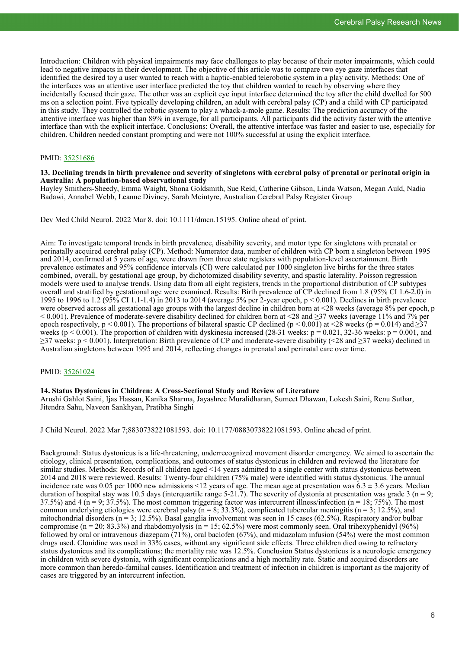Introduction: Children with physical impairments may face challenges to play because of their motor impairments, which could lead to negative impacts in their development. The objective of this article was to compare two eye gaze interfaces that identified the desired toy a user wanted to reach with a haptic-enabled telerobotic system in a play activity. Methods: One of the interfaces was an attentive user interface predicted the toy that children wanted to reach by observing where they incidentally focused their gaze. The other was an explicit eye input interface determined the toy after the child dwelled for 500 ms on a selection point. Five typically developing children, an adult with cerebral palsy (CP) and a child with CP participated in this study. They controlled the robotic system to play a whack-a-mole game. Results: The prediction accuracy of the attentive interface was higher than 89% in average, for all participants. All participants did the activity faster with the attentive interface than with the explicit interface. Conclusions: Overall, the attentive interface was faster and easier to use, especially for children. Children needed constant prompting and were not 100% successful at using the explicit interface.

#### PMID: [35251686](http://www.ncbi.nlm.nih.gov/pubmed/35251686)

#### **13. Declining trends in birth prevalence and severity of singletons with cerebral palsy of prenatal or perinatal origin in Australia: A population-based observational study**

Hayley Smithers-Sheedy, Emma Waight, Shona Goldsmith, Sue Reid, Catherine Gibson, Linda Watson, Megan Auld, Nadia Badawi, Annabel Webb, Leanne Diviney, Sarah Mcintyre, Australian Cerebral Palsy Register Group

Dev Med Child Neurol. 2022 Mar 8. doi: 10.1111/dmcn.15195. Online ahead of print.

Aim: To investigate temporal trends in birth prevalence, disability severity, and motor type for singletons with prenatal or perinatally acquired cerebral palsy (CP). Method: Numerator data, number of children with CP born a singleton between 1995 and 2014, confirmed at 5 years of age, were drawn from three state registers with population-level ascertainment. Birth prevalence estimates and 95% confidence intervals (CI) were calculated per 1000 singleton live births for the three states combined, overall, by gestational age group, by dichotomized disability severity, and spastic laterality. Poisson regression models were used to analyse trends. Using data from all eight registers, trends in the proportional distribution of CP subtypes overall and stratified by gestational age were examined. Results: Birth prevalence of CP declined from 1.8 (95% CI 1.6-2.0) in 1995 to 1996 to 1.2 (95% CI 1.1-1.4) in 2013 to 2014 (average 5% per 2-year epoch, p < 0.001). Declines in birth prevalence were observed across all gestational age groups with the largest decline in children born at <28 weeks (average 8% per epoch, p  $< 0.001$ ). Prevalence of moderate-severe disability declined for children born at  $\leq 28$  and  $\geq 37$  weeks (average 11% and 7% per epoch respectively,  $p < 0.001$ ). The proportions of bilateral spastic CP declined ( $p < 0.001$ ) at <28 weeks ( $p = 0.014$ ) and  $\geq$ 37 weeks ( $p < 0.001$ ). The proportion of children with dyskinesia increased (28-31 weeks:  $p = 0.021$ , 32-36 weeks:  $p = 0.001$ , and ≥37 weeks: p < 0.001). Interpretation: Birth prevalence of CP and moderate-severe disability (<28 and ≥37 weeks) declined in Australian singletons between 1995 and 2014, reflecting changes in prenatal and perinatal care over time.

#### PMID: [35261024](http://www.ncbi.nlm.nih.gov/pubmed/35261024)

#### **14. Status Dystonicus in Children: A Cross-Sectional Study and Review of Literature**

Arushi Gahlot Saini, Ijas Hassan, Kanika Sharma, Jayashree Muralidharan, Sumeet Dhawan, Lokesh Saini, Renu Suthar, Jitendra Sahu, Naveen Sankhyan, Pratibha Singhi

J Child Neurol. 2022 Mar 7;8830738221081593. doi: 10.1177/08830738221081593. Online ahead of print.

Background: Status dystonicus is a life-threatening, underrecognized movement disorder emergency. We aimed to ascertain the etiology, clinical presentation, complications, and outcomes of status dystonicus in children and reviewed the literature for similar studies. Methods: Records of all children aged <14 years admitted to a single center with status dystonicus between 2014 and 2018 were reviewed. Results: Twenty-four children (75% male) were identified with status dystonicus. The annual incidence rate was 0.05 per 1000 new admissions <12 years of age. The mean age at presentation was  $6.3 \pm 3.6$  years. Median duration of hospital stay was 10.5 days (interquartile range 5-21.7). The severity of dystonia at presentation was grade 3 ( $n = 9$ ; 37.5%) and 4 ( $n = 9$ ; 37.5%). The most common triggering factor was intercurrent illness/infection ( $n = 18$ ; 75%). The most common underlying etiologies were cerebral palsy ( $n = 8$ ; 33.3%), complicated tubercular meningitis ( $n = 3$ ; 12.5%), and mitochondrial disorders ( $n = 3$ ; 12.5%). Basal ganglia involvement was seen in 15 cases (62.5%). Respiratory and/or bulbar compromise (n = 20; 83.3%) and rhabdomyolysis (n = 15; 62.5%) were most commonly seen. Oral trihexyphenidyl (96%) followed by oral or intravenous diazepam (71%), oral baclofen (67%), and midazolam infusion (54%) were the most common drugs used. Clonidine was used in 33% cases, without any significant side effects. Three children died owing to refractory status dystonicus and its complications; the mortality rate was 12.5%. Conclusion Status dystonicus is a neurologic emergency in children with severe dystonia, with significant complications and a high mortality rate. Static and acquired disorders are more common than heredo-familial causes. Identification and treatment of infection in children is important as the majority of cases are triggered by an intercurrent infection.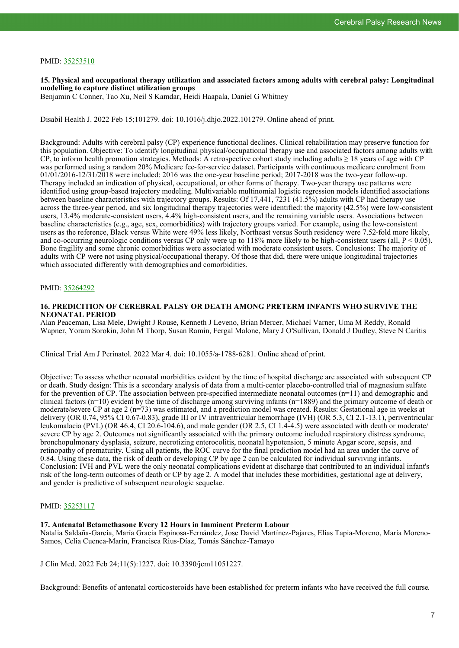#### PMID: [35253510](http://www.ncbi.nlm.nih.gov/pubmed/35253510)

**15. Physical and occupational therapy utilization and associated factors among adults with cerebral palsy: Longitudinal modelling to capture distinct utilization groups**

Benjamin C Conner, Tao Xu, Neil S Kamdar, Heidi Haapala, Daniel G Whitney

Disabil Health J. 2022 Feb 15;101279. doi: 10.1016/j.dhjo.2022.101279. Online ahead of print.

Background: Adults with cerebral palsy (CP) experience functional declines. Clinical rehabilitation may preserve function for this population. Objective: To identify longitudinal physical/occupational therapy use and associated factors among adults with CP, to inform health promotion strategies. Methods: A retrospective cohort study including adults  $\geq 18$  years of age with CP was performed using a random 20% Medicare fee-for-service dataset. Participants with continuous medicare enrolment from  $01/01/2016-12/31/2018$  were included: 2016 was the one-year baseline period; 2017-2018 was the two-year follow-up. Therapy included an indication of physical, occupational, or other forms of therapy. Two-year therapy use patterns were identified using group-based trajectory modeling. Multivariable multinomial logistic regression models identified associations between baseline characteristics with trajectory groups. Results: Of 17,441, 7231 (41.5%) adults with CP had therapy use across the three-year period, and six longitudinal therapy trajectories were identified: the majority (42.5%) were low-consistent users, 13.4% moderate-consistent users, 4.4% high-consistent users, and the remaining variable users. Associations between baseline characteristics (e.g., age, sex, comorbidities) with trajectory groups varied. For example, using the low-consistent users as the reference, Black versus White were 49% less likely, Northeast versus South residency were 7.52-fold more likely, and co-occurring neurologic conditions versus CP only were up to 118% more likely to be high-consistent users (all,  $P < 0.05$ ). Bone fragility and some chronic comorbidities were associated with moderate consistent users. Conclusions: The majority of adults with CP were not using physical/occupational therapy. Of those that did, there were unique longitudinal trajectories which associated differently with demographics and comorbidities.

#### PMID: [35264292](http://www.ncbi.nlm.nih.gov/pubmed/35264292)

#### **16. PREDICITION OF CEREBRAL PALSY OR DEATH AMONG PRETERM INFANTS WHO SURVIVE THE NEONATAL PERIOD**

Alan Peaceman, Lisa Mele, Dwight J Rouse, Kenneth J Leveno, Brian Mercer, Michael Varner, Uma M Reddy, Ronald Wapner, Yoram Sorokin, John M Thorp, Susan Ramin, Fergal Malone, Mary J O'Sullivan, Donald J Dudley, Steve N Caritis

Clinical Trial Am J Perinatol. 2022 Mar 4. doi: 10.1055/a-1788-6281. Online ahead of print.

Objective: To assess whether neonatal morbidities evident by the time of hospital discharge are associated with subsequent CP or death. Study design: This is a secondary analysis of data from a multi-center placebo-controlled trial of magnesium sulfate for the prevention of CP. The association between pre-specified intermediate neonatal outcomes  $(n=11)$  and demographic and clinical factors  $(n=10)$  evident by the time of discharge among surviving infants  $(n=1889)$  and the primary outcome of death or moderate/severe CP at age 2 (n=73) was estimated, and a prediction model was created. Results: Gestational age in weeks at delivery (OR 0.74, 95% CI 0.67-0.83), grade III or IV intraventricular hemorrhage (IVH) (OR 5.3, CI 2.1-13.1), periventricular leukomalacia (PVL) (OR 46.4, CI 20.6-104.6), and male gender (OR 2.5, CI 1.4-4.5) were associated with death or moderate/ severe CP by age 2. Outcomes not significantly associated with the primary outcome included respiratory distress syndrome, bronchopulmonary dysplasia, seizure, necrotizing enterocolitis, neonatal hypotension, 5 minute Apgar score, sepsis, and retinopathy of prematurity. Using all patients, the ROC curve for the final prediction model had an area under the curve of 0.84. Using these data, the risk of death or developing CP by age 2 can be calculated for individual surviving infants. Conclusion: IVH and PVL were the only neonatal complications evident at discharge that contributed to an individual infant's risk of the long-term outcomes of death or CP by age 2. A model that includes these morbidities, gestational age at delivery, and gender is predictive of subsequent neurologic sequelae.

#### PMID: [35253117](http://www.ncbi.nlm.nih.gov/pubmed/35253117)

#### **17. Antenatal Betamethasone Every 12 Hours in Imminent Preterm Labour**

Natalia Saldaña-García, María Gracia Espinosa-Fernández, Jose David Martínez-Pajares, Elías Tapia-Moreno, María Moreno-Samos, Celia Cuenca-Marín, Francisca Rius-Díaz, Tomás Sánchez-Tamayo

J Clin Med. 2022 Feb 24;11(5):1227. doi: 10.3390/jcm11051227.

Background: Benefits of antenatal corticosteroids have been established for preterm infants who have received the full course.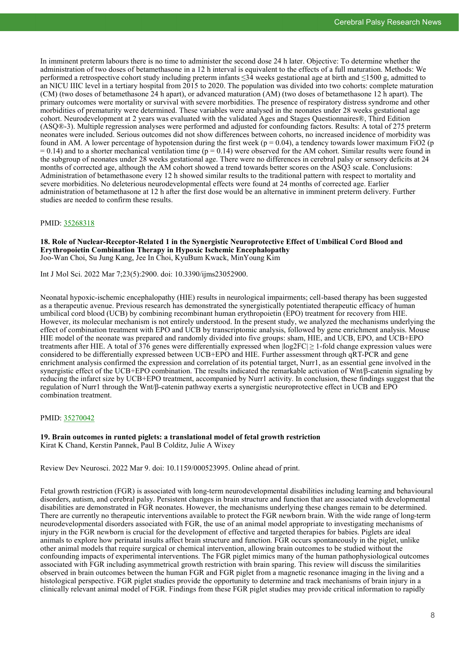In imminent preterm labours there is no time to administer the second dose 24 h later. Objective: To determine whether the administration of two doses of betamethasone in a 12 h interval is equivalent to the effects of a full maturation. Methods: We performed a retrospective cohort study including preterm infants ≤34 weeks gestational age at birth and ≤1500 g, admitted to an NICU IIIC level in a tertiary hospital from 2015 to 2020. The population was divided into two cohorts: complete maturation (CM) (two doses of betamethasone 24 h apart), or advanced maturation (AM) (two doses of betamethasone 12 h apart). The primary outcomes were mortality or survival with severe morbidities. The presence of respiratory distress syndrome and other morbidities of prematurity were determined. These variables were analysed in the neonates under 28 weeks gestational age cohort. Neurodevelopment at 2 years was evaluated with the validated Ages and Stages Questionnaires®, Third Edition (ASQ®-3). Multiple regression analyses were performed and adjusted for confounding factors. Results: A total of 275 preterm neonates were included. Serious outcomes did not show differences between cohorts, no increased incidence of morbidity was found in AM. A lower percentage of hypotension during the first week ( $p = 0.04$ ), a tendency towards lower maximum FiO2 (p  $= 0.14$ ) and to a shorter mechanical ventilation time ( $p = 0.14$ ) were observed for the AM cohort. Similar results were found in the subgroup of neonates under 28 weeks gestational age. There were no differences in cerebral palsy or sensory deficits at 24 months of corrected age, although the AM cohort showed a trend towards better scores on the ASQ3 scale. Conclusions: Administration of betamethasone every 12 h showed similar results to the traditional pattern with respect to mortality and severe morbidities. No deleterious neurodevelopmental effects were found at 24 months of corrected age. Earlier administration of betamethasone at 12 h after the first dose would be an alternative in imminent preterm delivery. Further studies are needed to confirm these results.

#### PMID: [35268318](http://www.ncbi.nlm.nih.gov/pubmed/35268318)

**18. Role of Nuclear-Receptor-Related 1 in the Synergistic Neuroprotective Effect of Umbilical Cord Blood and Erythropoietin Combination Therapy in Hypoxic Ischemic Encephalopathy** Joo-Wan Choi, Su Jung Kang, Jee In Choi, KyuBum Kwack, MinYoung Kim

Int J Mol Sci. 2022 Mar 7;23(5):2900. doi: 10.3390/ijms23052900.

Neonatal hypoxic-ischemic encephalopathy (HIE) results in neurological impairments; cell-based therapy has been suggested as a therapeutic avenue. Previous research has demonstrated the synergistically potentiated therapeutic efficacy of human umbilical cord blood (UCB) by combining recombinant human erythropoietin (EPO) treatment for recovery from HIE. However, its molecular mechanism is not entirely understood. In the present study, we analyzed the mechanisms underlying the effect of combination treatment with EPO and UCB by transcriptomic analysis, followed by gene enrichment analysis. Mouse HIE model of the neonate was prepared and randomly divided into five groups: sham, HIE, and UCB, EPO, and UCB+EPO treatments after HIE. A total of 376 genes were differentially expressed when  $log2FC \geq 1$ -fold change expression values were considered to be differentially expressed between UCB+EPO and HIE. Further assessment through qRT-PCR and gene enrichment analysis confirmed the expression and correlation of its potential target, Nurr1, as an essential gene involved in the synergistic effect of the UCB+EPO combination. The results indicated the remarkable activation of Wnt/β-catenin signaling by reducing the infarct size by UCB+EPO treatment, accompanied by Nurr1 activity. In conclusion, these findings suggest that the regulation of Nurr1 through the Wnt/β-catenin pathway exerts a synergistic neuroprotective effect in UCB and EPO combination treatment.

#### PMID: [35270042](http://www.ncbi.nlm.nih.gov/pubmed/35270042)

**19. Brain outcomes in runted piglets: a translational model of fetal growth restriction** Kirat K Chand, Kerstin Pannek, Paul B Colditz, Julie A Wixey

Review Dev Neurosci. 2022 Mar 9. doi: 10.1159/000523995. Online ahead of print.

Fetal growth restriction (FGR) is associated with long-term neurodevelopmental disabilities including learning and behavioural disorders, autism, and cerebral palsy. Persistent changes in brain structure and function that are associated with developmental disabilities are demonstrated in FGR neonates. However, the mechanisms underlying these changes remain to be determined. There are currently no therapeutic interventions available to protect the FGR newborn brain. With the wide range of long-term neurodevelopmental disorders associated with FGR, the use of an animal model appropriate to investigating mechanisms of injury in the FGR newborn is crucial for the development of effective and targeted therapies for babies. Piglets are ideal animals to explore how perinatal insults affect brain structure and function. FGR occurs spontaneously in the piglet, unlike other animal models that require surgical or chemical intervention, allowing brain outcomes to be studied without the confounding impacts of experimental interventions. The FGR piglet mimics many of the human pathophysiological outcomes associated with FGR including asymmetrical growth restriction with brain sparing. This review will discuss the similarities observed in brain outcomes between the human FGR and FGR piglet from a magnetic resonance imaging in the living and a histological perspective. FGR piglet studies provide the opportunity to determine and track mechanisms of brain injury in a clinically relevant animal model of FGR. Findings from these FGR piglet studies may provide critical information to rapidly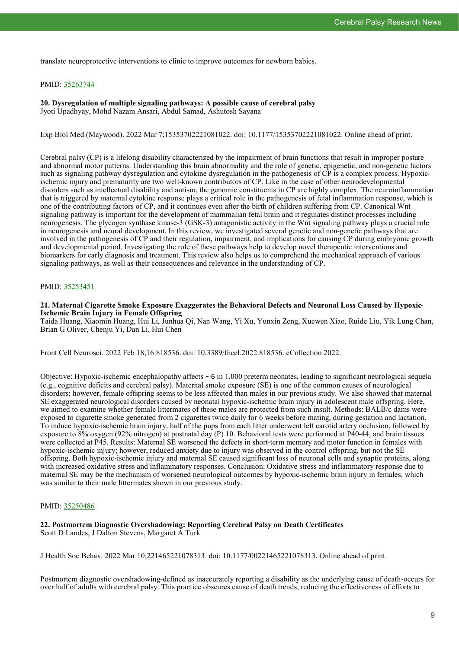translate neuroprotective interventions to clinic to improve outcomes for newborn babies.

#### PMID: [35263744](http://www.ncbi.nlm.nih.gov/pubmed/35263744)

**20. Dysregulation of multiple signaling pathways: A possible cause of cerebral palsy** Jyoti Upadhyay, Mohd Nazam Ansari, Abdul Samad, Ashutosh Sayana

Exp Biol Med (Maywood). 2022 Mar 7;15353702221081022. doi: 10.1177/15353702221081022. Online ahead of print.

Cerebral palsy (CP) is a lifelong disability characterized by the impairment of brain functions that result in improper posture and abnormal motor patterns. Understanding this brain abnormality and the role of genetic, epigenetic, and non-genetic factors such as signaling pathway dysregulation and cytokine dysregulation in the pathogenesis of CP is a complex process. Hypoxicischemic injury and prematurity are two well-known contributors of CP. Like in the case of other neurodevelopmental disorders such as intellectual disability and autism, the genomic constituents in CP are highly complex. The neuroinflammation that is triggered by maternal cytokine response plays a critical role in the pathogenesis of fetal inflammation response, which is one of the contributing factors of CP, and it continues even after the birth of children suffering from CP. Canonical Wnt signaling pathway is important for the development of mammalian fetal brain and it regulates distinct processes including neurogenesis. The glycogen synthase kinase-3 (GSK-3) antagonistic activity in the Wnt signaling pathway plays a crucial role in neurogenesis and neural development. In this review, we investigated several genetic and non-genetic pathways that are involved in the pathogenesis of CP and their regulation, impairment, and implications for causing CP during embryonic growth and developmental period. Investigating the role of these pathways help to develop novel therapeutic interventions and biomarkers for early diagnosis and treatment. This review also helps us to comprehend the mechanical approach of various signaling pathways, as well as their consequences and relevance in the understanding of CP.

#### PMID: [35253451](http://www.ncbi.nlm.nih.gov/pubmed/35253451)

#### **21. Maternal Cigarette Smoke Exposure Exaggerates the Behavioral Defects and Neuronal Loss Caused by Hypoxic-Ischemic Brain Injury in Female Offspring**

Taida Huang, Xiaomin Huang, Hui Li, Junhua Qi, Nan Wang, Yi Xu, Yunxin Zeng, Xuewen Xiao, Ruide Liu, Yik Lung Chan, Brian G Oliver, Chenju Yi, Dan Li, Hui Chen

Front Cell Neurosci. 2022 Feb 18;16:818536. doi: 10.3389/fncel.2022.818536. eCollection 2022.

Objective: Hypoxic-ischemic encephalopathy affects ∼6 in 1,000 preterm neonates, leading to significant neurological sequela (e.g., cognitive deficits and cerebral palsy). Maternal smoke exposure (SE) is one of the common causes of neurological disorders; however, female offspring seems to be less affected than males in our previous study. We also showed that maternal SE exaggerated neurological disorders caused by neonatal hypoxic-ischemic brain injury in adolescent male offspring. Here, we aimed to examine whether female littermates of these males are protected from such insult. Methods: BALB/c dams were exposed to cigarette smoke generated from 2 cigarettes twice daily for 6 weeks before mating, during gestation and lactation. To induce hypoxic-ischemic brain injury, half of the pups from each litter underwent left carotid artery occlusion, followed by exposure to 8% oxygen (92% nitrogen) at postnatal day (P) 10. Behavioral tests were performed at P40-44, and brain tissues were collected at P45. Results: Maternal SE worsened the defects in short-term memory and motor function in females with hypoxic-ischemic injury; however, reduced anxiety due to injury was observed in the control offspring, but not the SE offspring. Both hypoxic-ischemic injury and maternal SE caused significant loss of neuronal cells and synaptic proteins, along with increased oxidative stress and inflammatory responses. Conclusion: Oxidative stress and inflammatory response due to maternal SE may be the mechanism of worsened neurological outcomes by hypoxic-ischemic brain injury in females, which was similar to their male littermates shown in our previous study.

#### PMID: [35250486](http://www.ncbi.nlm.nih.gov/pubmed/35250486)

# **22. Postmortem Diagnostic Overshadowing: Reporting Cerebral Palsy on Death Certificates**

Scott D Landes, J Dalton Stevens, Margaret A Turk

J Health Soc Behav. 2022 Mar 10;221465221078313. doi: 10.1177/00221465221078313. Online ahead of print.

Postmortem diagnostic overshadowing-defined as inaccurately reporting a disability as the underlying cause of death-occurs for over half of adults with cerebral palsy. This practice obscures cause of death trends, reducing the effectiveness of efforts to